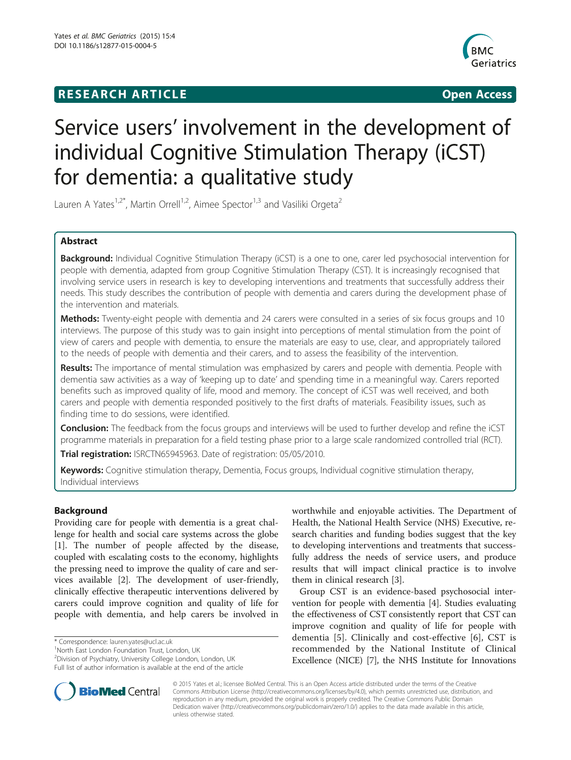## **RESEARCH ARTICLE Example 2014 12:30 The SEAR CHA RTICLE**



# Service users' involvement in the development of individual Cognitive Stimulation Therapy (iCST) for dementia: a qualitative study

Lauren A Yates<sup>1,2\*</sup>, Martin Orrell<sup>1,2</sup>, Aimee Spector<sup>1,3</sup> and Vasiliki Orgeta<sup>2</sup>

## Abstract

Background: Individual Cognitive Stimulation Therapy (iCST) is a one to one, carer led psychosocial intervention for people with dementia, adapted from group Cognitive Stimulation Therapy (CST). It is increasingly recognised that involving service users in research is key to developing interventions and treatments that successfully address their needs. This study describes the contribution of people with dementia and carers during the development phase of the intervention and materials.

**Methods:** Twenty-eight people with dementia and 24 carers were consulted in a series of six focus groups and 10 interviews. The purpose of this study was to gain insight into perceptions of mental stimulation from the point of view of carers and people with dementia, to ensure the materials are easy to use, clear, and appropriately tailored to the needs of people with dementia and their carers, and to assess the feasibility of the intervention.

Results: The importance of mental stimulation was emphasized by carers and people with dementia. People with dementia saw activities as a way of 'keeping up to date' and spending time in a meaningful way. Carers reported benefits such as improved quality of life, mood and memory. The concept of iCST was well received, and both carers and people with dementia responded positively to the first drafts of materials. Feasibility issues, such as finding time to do sessions, were identified.

**Conclusion:** The feedback from the focus groups and interviews will be used to further develop and refine the iCST programme materials in preparation for a field testing phase prior to a large scale randomized controlled trial (RCT).

Trial registration: [ISRCTN65945963](http://www.controlled-trials.com/ISRCTN65945963). Date of registration: 05/05/2010.

Keywords: Cognitive stimulation therapy, Dementia, Focus groups, Individual cognitive stimulation therapy, Individual interviews

## Background

Providing care for people with dementia is a great challenge for health and social care systems across the globe [[1\]](#page-9-0). The number of people affected by the disease, coupled with escalating costs to the economy, highlights the pressing need to improve the quality of care and services available [\[2\]](#page-9-0). The development of user-friendly, clinically effective therapeutic interventions delivered by carers could improve cognition and quality of life for people with dementia, and help carers be involved in

\* Correspondence: [lauren.yates@ucl.ac.uk](mailto:lauren.yates@ucl.ac.uk) <sup>1</sup>

<sup>1</sup>North East London Foundation Trust, London, UK

worthwhile and enjoyable activities. The Department of Health, the National Health Service (NHS) Executive, research charities and funding bodies suggest that the key to developing interventions and treatments that successfully address the needs of service users, and produce results that will impact clinical practice is to involve them in clinical research [[3](#page-9-0)].

Group CST is an evidence-based psychosocial intervention for people with dementia [\[4](#page-9-0)]. Studies evaluating the effectiveness of CST consistently report that CST can improve cognition and quality of life for people with dementia [\[5](#page-9-0)]. Clinically and cost-effective [[6\]](#page-9-0), CST is recommended by the National Institute of Clinical Excellence (NICE) [[7](#page-9-0)], the NHS Institute for Innovations



© 2015 Yates et al.; licensee BioMed Central. This is an Open Access article distributed under the terms of the Creative Commons Attribution License [\(http://creativecommons.org/licenses/by/4.0\)](http://creativecommons.org/licenses/by/4.0), which permits unrestricted use, distribution, and reproduction in any medium, provided the original work is properly credited. The Creative Commons Public Domain Dedication waiver [\(http://creativecommons.org/publicdomain/zero/1.0/](http://creativecommons.org/publicdomain/zero/1.0/)) applies to the data made available in this article, unless otherwise stated.

<sup>&</sup>lt;sup>2</sup>Division of Psychiatry, University College London, London, UK Full list of author information is available at the end of the article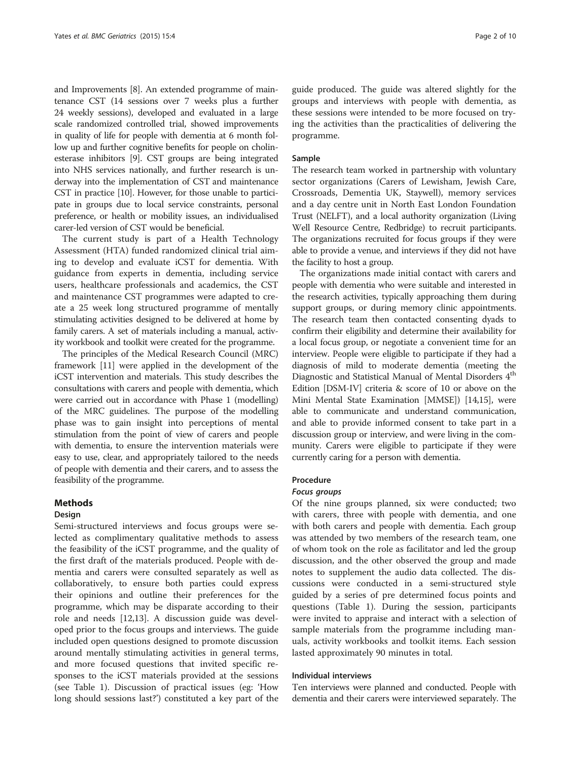<span id="page-1-0"></span>and Improvements [[8](#page-9-0)]. An extended programme of maintenance CST (14 sessions over 7 weeks plus a further 24 weekly sessions), developed and evaluated in a large scale randomized controlled trial, showed improvements in quality of life for people with dementia at 6 month follow up and further cognitive benefits for people on cholinesterase inhibitors [[9](#page-9-0)]. CST groups are being integrated into NHS services nationally, and further research is underway into the implementation of CST and maintenance CST in practice [\[10](#page-9-0)]. However, for those unable to participate in groups due to local service constraints, personal preference, or health or mobility issues, an individualised carer-led version of CST would be beneficial.

The current study is part of a Health Technology Assessment (HTA) funded randomized clinical trial aiming to develop and evaluate iCST for dementia. With guidance from experts in dementia, including service users, healthcare professionals and academics, the CST and maintenance CST programmes were adapted to create a 25 week long structured programme of mentally stimulating activities designed to be delivered at home by family carers. A set of materials including a manual, activity workbook and toolkit were created for the programme.

The principles of the Medical Research Council (MRC) framework [\[11\]](#page-9-0) were applied in the development of the iCST intervention and materials. This study describes the consultations with carers and people with dementia, which were carried out in accordance with Phase 1 (modelling) of the MRC guidelines. The purpose of the modelling phase was to gain insight into perceptions of mental stimulation from the point of view of carers and people with dementia, to ensure the intervention materials were easy to use, clear, and appropriately tailored to the needs of people with dementia and their carers, and to assess the feasibility of the programme.

#### Methods

#### **Design**

Semi-structured interviews and focus groups were selected as complimentary qualitative methods to assess the feasibility of the iCST programme, and the quality of the first draft of the materials produced. People with dementia and carers were consulted separately as well as collaboratively, to ensure both parties could express their opinions and outline their preferences for the programme, which may be disparate according to their role and needs [\[12,13](#page-9-0)]. A discussion guide was developed prior to the focus groups and interviews. The guide included open questions designed to promote discussion around mentally stimulating activities in general terms, and more focused questions that invited specific responses to the iCST materials provided at the sessions (see Table [1\)](#page-2-0). Discussion of practical issues (eg: 'How long should sessions last?') constituted a key part of the

guide produced. The guide was altered slightly for the groups and interviews with people with dementia, as these sessions were intended to be more focused on trying the activities than the practicalities of delivering the programme.

#### Sample

The research team worked in partnership with voluntary sector organizations (Carers of Lewisham, Jewish Care, Crossroads, Dementia UK, Staywell), memory services and a day centre unit in North East London Foundation Trust (NELFT), and a local authority organization (Living Well Resource Centre, Redbridge) to recruit participants. The organizations recruited for focus groups if they were able to provide a venue, and interviews if they did not have the facility to host a group.

The organizations made initial contact with carers and people with dementia who were suitable and interested in the research activities, typically approaching them during support groups, or during memory clinic appointments. The research team then contacted consenting dyads to confirm their eligibility and determine their availability for a local focus group, or negotiate a convenient time for an interview. People were eligible to participate if they had a diagnosis of mild to moderate dementia (meeting the Diagnostic and Statistical Manual of Mental Disorders 4<sup>th</sup> Edition [DSM-IV] criteria & score of 10 or above on the Mini Mental State Examination [MMSE]) [\[14,15](#page-9-0)], were able to communicate and understand communication, and able to provide informed consent to take part in a discussion group or interview, and were living in the community. Carers were eligible to participate if they were currently caring for a person with dementia.

#### Procedure

#### Focus groups

Of the nine groups planned, six were conducted; two with carers, three with people with dementia, and one with both carers and people with dementia. Each group was attended by two members of the research team, one of whom took on the role as facilitator and led the group discussion, and the other observed the group and made notes to supplement the audio data collected. The discussions were conducted in a semi-structured style guided by a series of pre determined focus points and questions (Table [1\)](#page-2-0). During the session, participants were invited to appraise and interact with a selection of sample materials from the programme including manuals, activity workbooks and toolkit items. Each session lasted approximately 90 minutes in total.

#### Individual interviews

Ten interviews were planned and conducted. People with dementia and their carers were interviewed separately. The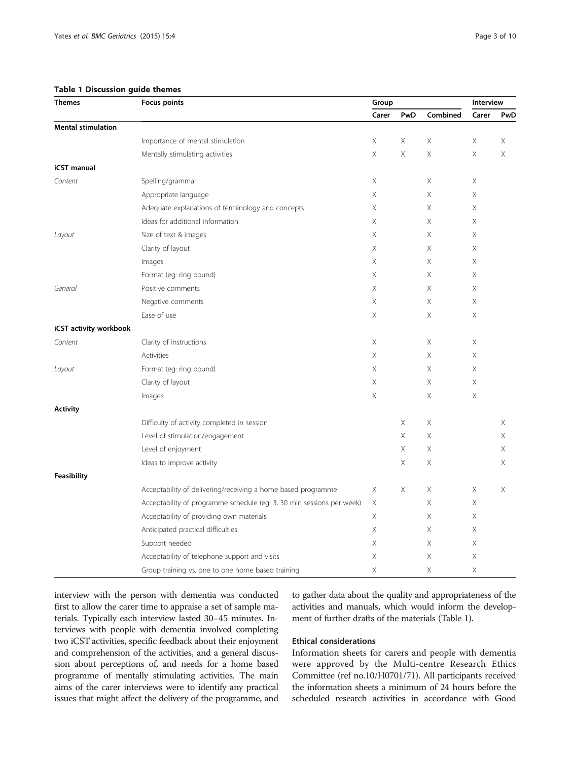#### <span id="page-2-0"></span>Table 1 Discussion guide themes

| <b>Themes</b>             | <b>Focus points</b>                                                   | Group    |     |          | <b>Interview</b> |     |
|---------------------------|-----------------------------------------------------------------------|----------|-----|----------|------------------|-----|
|                           |                                                                       | Carer    | PwD | Combined | Carer            | PwD |
| <b>Mental stimulation</b> |                                                                       |          |     |          |                  |     |
|                           | Importance of mental stimulation                                      | X        | Χ   | Χ        | Χ                | X   |
|                           | Mentally stimulating activities                                       | X        | Χ   | Χ        | X                | X   |
| <b>iCST</b> manual        |                                                                       |          |     |          |                  |     |
| Content                   | Spelling/grammar                                                      | Χ        |     | Χ        | Χ                |     |
|                           | Appropriate language                                                  | Χ        |     | Χ        | Χ                |     |
|                           | Adequate explanations of terminology and concepts                     | Χ        |     | Χ        | X                |     |
|                           | Ideas for additional information                                      | X        |     | Χ        | X                |     |
| Layout                    | Size of text & images                                                 | X        |     | X        | Χ                |     |
|                           | Clarity of layout                                                     | Χ        |     | Χ        | Χ                |     |
|                           | Images                                                                | Χ        |     | Χ        | Χ                |     |
|                           | Format (eg: ring bound)                                               | $\times$ |     | X        | Χ                |     |
| General                   | Positive comments                                                     | Χ        |     | Χ        | X                |     |
|                           | Negative comments                                                     | X        |     | Χ        | X                |     |
|                           | Ease of use                                                           | Χ        |     | Χ        | Χ                |     |
| iCST activity workbook    |                                                                       |          |     |          |                  |     |
| Content                   | Clarity of instructions                                               | Χ        |     | Χ        | Χ                |     |
|                           | Activities                                                            | X        |     | X        | X                |     |
| Layout                    | Format (eg: ring bound)                                               | Χ        |     | X        | Χ                |     |
|                           | Clarity of layout                                                     | $\times$ |     | X        | Χ                |     |
|                           | Images                                                                | Χ        |     | Χ        | Χ                |     |
| <b>Activity</b>           |                                                                       |          |     |          |                  |     |
|                           | Difficulty of activity completed in session                           |          | X   | Χ        |                  | X   |
|                           | Level of stimulation/engagement                                       |          | Χ   | Χ        |                  | Χ   |
|                           | Level of enjoyment                                                    |          | Χ   | Χ        |                  | Χ   |
|                           | Ideas to improve activity                                             |          | Χ   | Χ        |                  | Χ   |
| Feasibility               |                                                                       |          |     |          |                  |     |
|                           | Acceptability of delivering/receiving a home based programme          | X        | Χ   | X        | X                | X   |
|                           | Acceptability of programme schedule (eg: 3, 30 min sessions per week) | X        |     | X        | Χ                |     |
|                           | Acceptability of providing own materials                              | Χ        |     | Χ        | Χ                |     |
|                           | Anticipated practical difficulties                                    | $\times$ |     | X        | Χ                |     |
|                           | Support needed                                                        | Χ        |     | Χ        | Χ                |     |
|                           | Acceptability of telephone support and visits                         | Χ        |     | Χ        | Χ                |     |
|                           | Group training vs. one to one home based training                     | $\times$ |     | X        | Χ                |     |

interview with the person with dementia was conducted first to allow the carer time to appraise a set of sample materials. Typically each interview lasted 30–45 minutes. Interviews with people with dementia involved completing two iCST activities, specific feedback about their enjoyment and comprehension of the activities, and a general discussion about perceptions of, and needs for a home based programme of mentally stimulating activities. The main aims of the carer interviews were to identify any practical issues that might affect the delivery of the programme, and to gather data about the quality and appropriateness of the activities and manuals, which would inform the development of further drafts of the materials (Table 1).

#### Ethical considerations

Information sheets for carers and people with dementia were approved by the Multi-centre Research Ethics Committee (ref no.10/H0701/71). All participants received the information sheets a minimum of 24 hours before the scheduled research activities in accordance with Good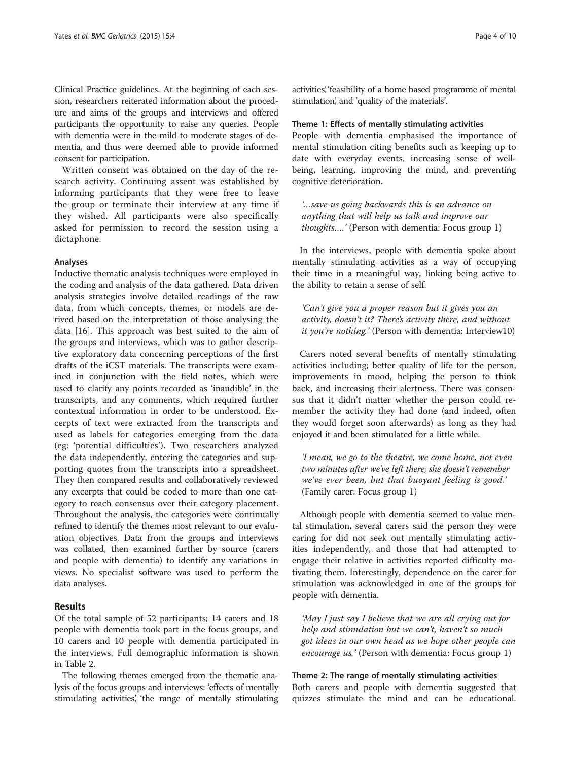Clinical Practice guidelines. At the beginning of each session, researchers reiterated information about the procedure and aims of the groups and interviews and offered participants the opportunity to raise any queries. People with dementia were in the mild to moderate stages of dementia, and thus were deemed able to provide informed consent for participation.

Written consent was obtained on the day of the research activity. Continuing assent was established by informing participants that they were free to leave the group or terminate their interview at any time if they wished. All participants were also specifically asked for permission to record the session using a dictaphone.

#### Analyses

Inductive thematic analysis techniques were employed in the coding and analysis of the data gathered. Data driven analysis strategies involve detailed readings of the raw data, from which concepts, themes, or models are derived based on the interpretation of those analysing the data [\[16](#page-9-0)]. This approach was best suited to the aim of the groups and interviews, which was to gather descriptive exploratory data concerning perceptions of the first drafts of the iCST materials. The transcripts were examined in conjunction with the field notes, which were used to clarify any points recorded as 'inaudible' in the transcripts, and any comments, which required further contextual information in order to be understood. Excerpts of text were extracted from the transcripts and used as labels for categories emerging from the data (eg: 'potential difficulties'). Two researchers analyzed the data independently, entering the categories and supporting quotes from the transcripts into a spreadsheet. They then compared results and collaboratively reviewed any excerpts that could be coded to more than one category to reach consensus over their category placement. Throughout the analysis, the categories were continually refined to identify the themes most relevant to our evaluation objectives. Data from the groups and interviews was collated, then examined further by source (carers and people with dementia) to identify any variations in views. No specialist software was used to perform the data analyses.

#### Results

Of the total sample of 52 participants; 14 carers and 18 people with dementia took part in the focus groups, and 10 carers and 10 people with dementia participated in the interviews. Full demographic information is shown in Table [2.](#page-4-0)

The following themes emerged from the thematic analysis of the focus groups and interviews: 'effects of mentally stimulating activities,' 'the range of mentally stimulating activities', 'feasibility of a home based programme of mental stimulation, and 'quality of the materials'.

#### Theme 1: Effects of mentally stimulating activities

People with dementia emphasised the importance of mental stimulation citing benefits such as keeping up to date with everyday events, increasing sense of wellbeing, learning, improving the mind, and preventing cognitive deterioration.

'…save us going backwards this is an advance on anything that will help us talk and improve our thoughts….' (Person with dementia: Focus group 1)

In the interviews, people with dementia spoke about mentally stimulating activities as a way of occupying their time in a meaningful way, linking being active to the ability to retain a sense of self.

'Can't give you a proper reason but it gives you an activity, doesn't it? There's activity there, and without it you're nothing.' (Person with dementia: Interview10)

Carers noted several benefits of mentally stimulating activities including; better quality of life for the person, improvements in mood, helping the person to think back, and increasing their alertness. There was consensus that it didn't matter whether the person could remember the activity they had done (and indeed, often they would forget soon afterwards) as long as they had enjoyed it and been stimulated for a little while.

'I mean, we go to the theatre, we come home, not even two minutes after we've left there, she doesn't remember we've ever been, but that buoyant feeling is good.' (Family carer: Focus group 1)

Although people with dementia seemed to value mental stimulation, several carers said the person they were caring for did not seek out mentally stimulating activities independently, and those that had attempted to engage their relative in activities reported difficulty motivating them. Interestingly, dependence on the carer for stimulation was acknowledged in one of the groups for people with dementia.

'May I just say I believe that we are all crying out for help and stimulation but we can't, haven't so much got ideas in our own head as we hope other people can encourage us.' (Person with dementia: Focus group 1)

#### Theme 2: The range of mentally stimulating activities

Both carers and people with dementia suggested that quizzes stimulate the mind and can be educational.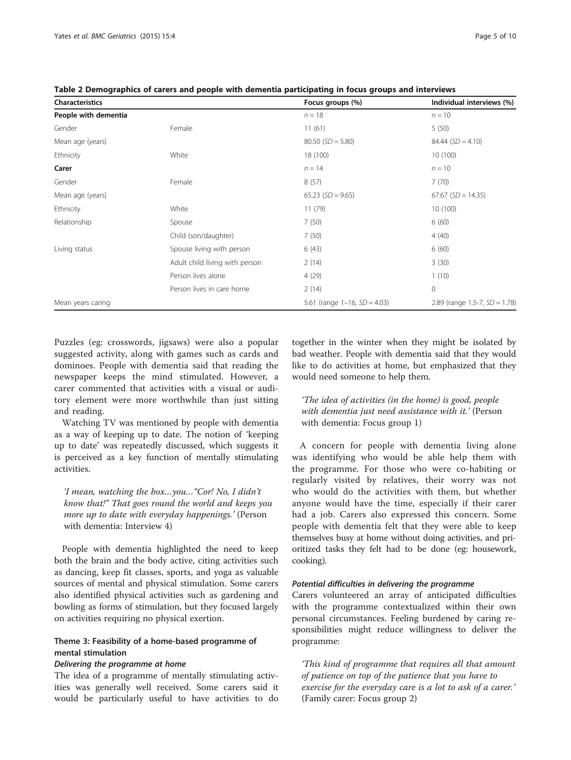| <b>Characteristics</b> |                                | Focus groups (%)                | Individual interviews (%)        |  |
|------------------------|--------------------------------|---------------------------------|----------------------------------|--|
| People with dementia   |                                | $n = 18$                        | $n = 10$                         |  |
| Gender                 | Female                         | 11(61)                          | 5(50)                            |  |
| Mean age (years)       |                                | $80.50(SD = 5.80)$              | $84.44(SD = 4.10)$               |  |
| Ethnicity              | White                          | 18 (100)                        | 10(100)                          |  |
| Carer                  |                                | $n = 14$                        | $n = 10$                         |  |
| Gender                 | Female                         | 8(57)                           | 7(70)                            |  |
| Mean age (years)       |                                | 65.23 $(SD = 9.65)$             | $67.67$ (SD = 14.35)             |  |
| Ethnicity              | White                          | 11(79)                          | 10 (100)                         |  |
| Relationship           | Spouse                         | 7(50)                           | 6(60)                            |  |
|                        | Child (son/daughter)           | 7(50)                           | 4(40)                            |  |
| Living status          | Spouse living with person      | 6(43)                           | 6(60)                            |  |
|                        | Adult child living with person | 2(14)                           | 3(30)                            |  |
|                        | Person lives alone             | 4(29)                           | 1(10)                            |  |
|                        | Person lives in care home      | 2(14)                           | $\mathbf{0}$                     |  |
| Mean years caring      |                                | 5.61 (range 1-16, $SD = 4.03$ ) | 2.89 (range 1.5-7, $SD = 1.78$ ) |  |

<span id="page-4-0"></span>Table 2 Demographics of carers and people with dementia participating in focus groups and interviews

Puzzles (eg: crosswords, jigsaws) were also a popular suggested activity, along with games such as cards and dominoes. People with dementia said that reading the newspaper keeps the mind stimulated. However, a carer commented that activities with a visual or auditory element were more worthwhile than just sitting and reading.

Watching TV was mentioned by people with dementia as a way of keeping up to date. The notion of 'keeping up to date' was repeatedly discussed, which suggests it is perceived as a key function of mentally stimulating activities.

'I mean, watching the box…you…"Cor! No, I didn't know that!" That goes round the world and keeps you more up to date with everyday happenings.' (Person with dementia: Interview 4)

People with dementia highlighted the need to keep both the brain and the body active, citing activities such as dancing, keep fit classes, sports, and yoga as valuable sources of mental and physical stimulation. Some carers also identified physical activities such as gardening and bowling as forms of stimulation, but they focused largely on activities requiring no physical exertion.

## Theme 3: Feasibility of a home-based programme of mental stimulation

### Delivering the programme at home

The idea of a programme of mentally stimulating activities was generally well received. Some carers said it would be particularly useful to have activities to do

together in the winter when they might be isolated by bad weather. People with dementia said that they would like to do activities at home, but emphasized that they would need someone to help them.

'The idea of activities (in the home) is good, people with dementia just need assistance with it.' (Person with dementia: Focus group 1)

A concern for people with dementia living alone was identifying who would be able help them with the programme. For those who were co-habiting or regularly visited by relatives, their worry was not who would do the activities with them, but whether anyone would have the time, especially if their carer had a job. Carers also expressed this concern. Some people with dementia felt that they were able to keep themselves busy at home without doing activities, and prioritized tasks they felt had to be done (eg: housework, cooking).

#### Potential difficulties in delivering the programme

Carers volunteered an array of anticipated difficulties with the programme contextualized within their own personal circumstances. Feeling burdened by caring responsibilities might reduce willingness to deliver the programme:

'This kind of programme that requires all that amount of patience on top of the patience that you have to exercise for the everyday care is a lot to ask of a carer.' (Family carer: Focus group 2)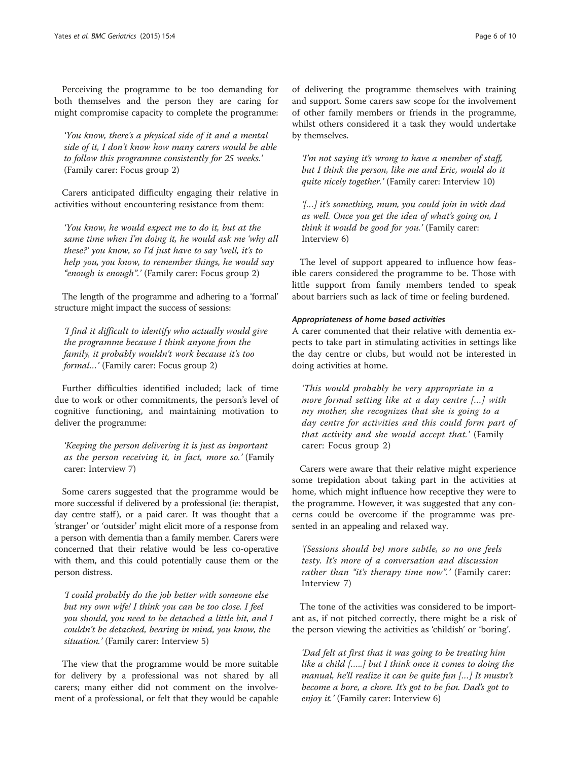Perceiving the programme to be too demanding for both themselves and the person they are caring for might compromise capacity to complete the programme:

'You know, there's a physical side of it and a mental side of it, I don't know how many carers would be able to follow this programme consistently for 25 weeks.' (Family carer: Focus group 2)

Carers anticipated difficulty engaging their relative in activities without encountering resistance from them:

'You know, he would expect me to do it, but at the same time when I'm doing it, he would ask me 'why all these?' you know, so I'd just have to say 'well, it's to help you, you know, to remember things, he would say "enough is enough".' (Family carer: Focus group 2)

The length of the programme and adhering to a 'formal' structure might impact the success of sessions:

'I find it difficult to identify who actually would give the programme because I think anyone from the family, it probably wouldn't work because it's too formal…' (Family carer: Focus group 2)

Further difficulties identified included; lack of time due to work or other commitments, the person's level of cognitive functioning, and maintaining motivation to deliver the programme:

'Keeping the person delivering it is just as important as the person receiving it, in fact, more so.' (Family carer: Interview 7)

Some carers suggested that the programme would be more successful if delivered by a professional (ie: therapist, day centre staff), or a paid carer. It was thought that a 'stranger' or 'outsider' might elicit more of a response from a person with dementia than a family member. Carers were concerned that their relative would be less co-operative with them, and this could potentially cause them or the person distress.

'I could probably do the job better with someone else but my own wife! I think you can be too close. I feel you should, you need to be detached a little bit, and I couldn't be detached, bearing in mind, you know, the situation.' (Family carer: Interview 5)

The view that the programme would be more suitable for delivery by a professional was not shared by all carers; many either did not comment on the involvement of a professional, or felt that they would be capable

of delivering the programme themselves with training and support. Some carers saw scope for the involvement of other family members or friends in the programme, whilst others considered it a task they would undertake by themselves.

'I'm not saying it's wrong to have a member of staff, but I think the person, like me and Eric, would do it quite nicely together.' (Family carer: Interview 10)

'[…] it's something, mum, you could join in with dad as well. Once you get the idea of what's going on, I think it would be good for you.' (Family carer: Interview 6)

The level of support appeared to influence how feasible carers considered the programme to be. Those with little support from family members tended to speak about barriers such as lack of time or feeling burdened.

### Appropriateness of home based activities

A carer commented that their relative with dementia expects to take part in stimulating activities in settings like the day centre or clubs, but would not be interested in doing activities at home.

'This would probably be very appropriate in a more formal setting like at a day centre […] with my mother, she recognizes that she is going to a day centre for activities and this could form part of that activity and she would accept that.' (Family carer: Focus group 2)

Carers were aware that their relative might experience some trepidation about taking part in the activities at home, which might influence how receptive they were to the programme. However, it was suggested that any concerns could be overcome if the programme was presented in an appealing and relaxed way.

'(Sessions should be) more subtle, so no one feels testy. It's more of a conversation and discussion rather than "it's therapy time now".' (Family carer: Interview 7)

The tone of the activities was considered to be important as, if not pitched correctly, there might be a risk of the person viewing the activities as 'childish' or 'boring'.

'Dad felt at first that it was going to be treating him like a child […..] but I think once it comes to doing the manual, he'll realize it can be quite fun […] It mustn't become a bore, a chore. It's got to be fun. Dad's got to enjoy it.' (Family carer: Interview 6)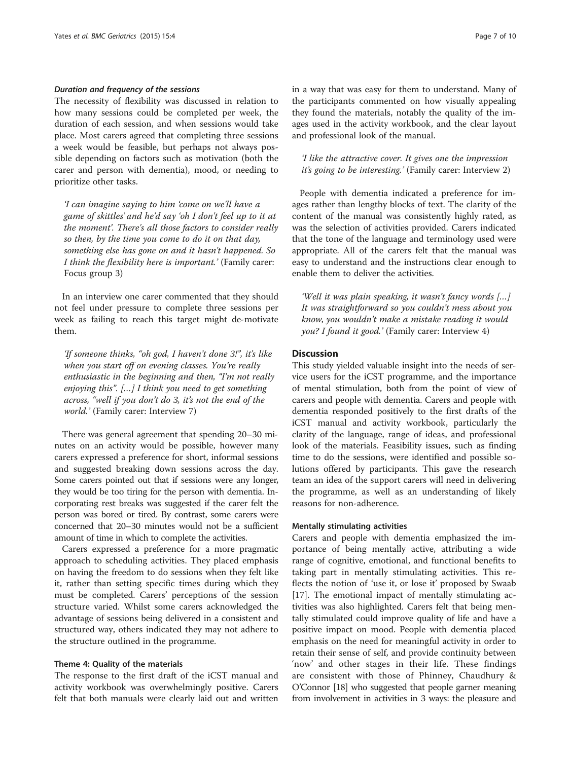#### Duration and frequency of the sessions

The necessity of flexibility was discussed in relation to how many sessions could be completed per week, the duration of each session, and when sessions would take place. Most carers agreed that completing three sessions a week would be feasible, but perhaps not always possible depending on factors such as motivation (both the carer and person with dementia), mood, or needing to prioritize other tasks.

'I can imagine saying to him 'come on we'll have a game of skittles' and he'd say 'oh I don't feel up to it at the moment'. There's all those factors to consider really so then, by the time you come to do it on that day, something else has gone on and it hasn't happened. So I think the flexibility here is important.' (Family carer: Focus group 3)

In an interview one carer commented that they should not feel under pressure to complete three sessions per week as failing to reach this target might de-motivate them.

'If someone thinks, "oh god, I haven't done 3!", it's like when you start off on evening classes. You're really enthusiastic in the beginning and then, "I'm not really enjoying this". […] I think you need to get something across, "well if you don't do 3, it's not the end of the world.' (Family carer: Interview 7)

There was general agreement that spending 20–30 minutes on an activity would be possible, however many carers expressed a preference for short, informal sessions and suggested breaking down sessions across the day. Some carers pointed out that if sessions were any longer, they would be too tiring for the person with dementia. Incorporating rest breaks was suggested if the carer felt the person was bored or tired. By contrast, some carers were concerned that 20–30 minutes would not be a sufficient amount of time in which to complete the activities.

Carers expressed a preference for a more pragmatic approach to scheduling activities. They placed emphasis on having the freedom to do sessions when they felt like it, rather than setting specific times during which they must be completed. Carers' perceptions of the session structure varied. Whilst some carers acknowledged the advantage of sessions being delivered in a consistent and structured way, others indicated they may not adhere to the structure outlined in the programme.

#### Theme 4: Quality of the materials

The response to the first draft of the iCST manual and activity workbook was overwhelmingly positive. Carers felt that both manuals were clearly laid out and written in a way that was easy for them to understand. Many of the participants commented on how visually appealing they found the materials, notably the quality of the images used in the activity workbook, and the clear layout and professional look of the manual.

'I like the attractive cover. It gives one the impression it's going to be interesting.' (Family carer: Interview 2)

People with dementia indicated a preference for images rather than lengthy blocks of text. The clarity of the content of the manual was consistently highly rated, as was the selection of activities provided. Carers indicated that the tone of the language and terminology used were appropriate. All of the carers felt that the manual was easy to understand and the instructions clear enough to enable them to deliver the activities.

'Well it was plain speaking, it wasn't fancy words […] It was straightforward so you couldn't mess about you know, you wouldn't make a mistake reading it would you? I found it good.' (Family carer: Interview 4)

#### **Discussion**

This study yielded valuable insight into the needs of service users for the iCST programme, and the importance of mental stimulation, both from the point of view of carers and people with dementia. Carers and people with dementia responded positively to the first drafts of the iCST manual and activity workbook, particularly the clarity of the language, range of ideas, and professional look of the materials. Feasibility issues, such as finding time to do the sessions, were identified and possible solutions offered by participants. This gave the research team an idea of the support carers will need in delivering the programme, as well as an understanding of likely reasons for non-adherence.

#### Mentally stimulating activities

Carers and people with dementia emphasized the importance of being mentally active, attributing a wide range of cognitive, emotional, and functional benefits to taking part in mentally stimulating activities. This reflects the notion of 'use it, or lose it' proposed by Swaab [[17\]](#page-9-0). The emotional impact of mentally stimulating activities was also highlighted. Carers felt that being mentally stimulated could improve quality of life and have a positive impact on mood. People with dementia placed emphasis on the need for meaningful activity in order to retain their sense of self, and provide continuity between 'now' and other stages in their life. These findings are consistent with those of Phinney, Chaudhury & O'Connor [[18](#page-9-0)] who suggested that people garner meaning from involvement in activities in 3 ways: the pleasure and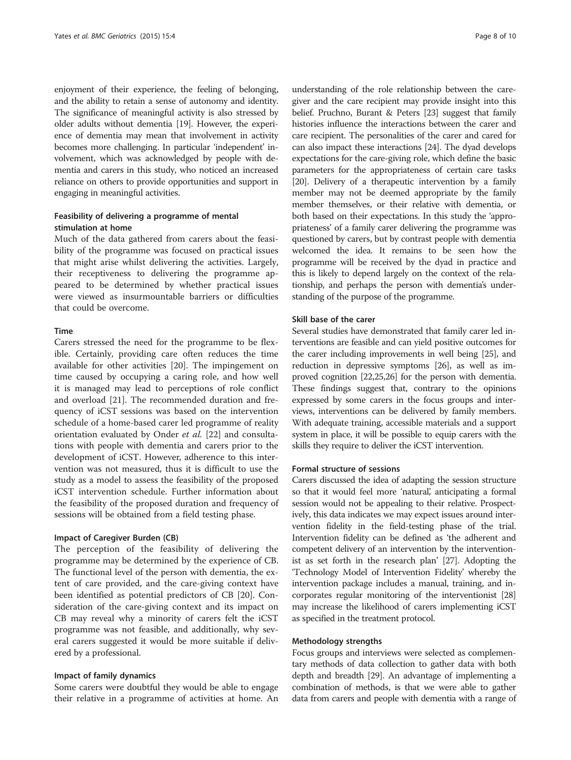enjoyment of their experience, the feeling of belonging, and the ability to retain a sense of autonomy and identity. The significance of meaningful activity is also stressed by older adults without dementia [[19](#page-9-0)]. However, the experience of dementia may mean that involvement in activity becomes more challenging. In particular 'independent' involvement, which was acknowledged by people with dementia and carers in this study, who noticed an increased reliance on others to provide opportunities and support in engaging in meaningful activities.

## Feasibility of delivering a programme of mental stimulation at home

Much of the data gathered from carers about the feasibility of the programme was focused on practical issues that might arise whilst delivering the activities. Largely, their receptiveness to delivering the programme appeared to be determined by whether practical issues were viewed as insurmountable barriers or difficulties that could be overcome.

#### Time

Carers stressed the need for the programme to be flexible. Certainly, providing care often reduces the time available for other activities [\[20\]](#page-9-0). The impingement on time caused by occupying a caring role, and how well it is managed may lead to perceptions of role conflict and overload [\[21](#page-9-0)]. The recommended duration and frequency of iCST sessions was based on the intervention schedule of a home-based carer led programme of reality orientation evaluated by Onder et al. [[22\]](#page-9-0) and consultations with people with dementia and carers prior to the development of iCST. However, adherence to this intervention was not measured, thus it is difficult to use the study as a model to assess the feasibility of the proposed iCST intervention schedule. Further information about the feasibility of the proposed duration and frequency of sessions will be obtained from a field testing phase.

#### Impact of Caregiver Burden (CB)

The perception of the feasibility of delivering the programme may be determined by the experience of CB. The functional level of the person with dementia, the extent of care provided, and the care-giving context have been identified as potential predictors of CB [[20\]](#page-9-0). Consideration of the care-giving context and its impact on CB may reveal why a minority of carers felt the iCST programme was not feasible, and additionally, why several carers suggested it would be more suitable if delivered by a professional.

#### Impact of family dynamics

Some carers were doubtful they would be able to engage their relative in a programme of activities at home. An

understanding of the role relationship between the caregiver and the care recipient may provide insight into this belief. Pruchno, Burant & Peters [\[23\]](#page-9-0) suggest that family histories influence the interactions between the carer and care recipient. The personalities of the carer and cared for can also impact these interactions [\[24\]](#page-9-0). The dyad develops expectations for the care-giving role, which define the basic parameters for the appropriateness of certain care tasks [[20](#page-9-0)]. Delivery of a therapeutic intervention by a family member may not be deemed appropriate by the family member themselves, or their relative with dementia, or both based on their expectations. In this study the 'appropriateness' of a family carer delivering the programme was questioned by carers, but by contrast people with dementia welcomed the idea. It remains to be seen how the programme will be received by the dyad in practice and this is likely to depend largely on the context of the relationship, and perhaps the person with dementia's understanding of the purpose of the programme.

#### Skill base of the carer

Several studies have demonstrated that family carer led interventions are feasible and can yield positive outcomes for the carer including improvements in well being [\[25\]](#page-9-0), and reduction in depressive symptoms [\[26\]](#page-9-0), as well as improved cognition [\[22,25,26\]](#page-9-0) for the person with dementia. These findings suggest that, contrary to the opinions expressed by some carers in the focus groups and interviews, interventions can be delivered by family members. With adequate training, accessible materials and a support system in place, it will be possible to equip carers with the skills they require to deliver the iCST intervention.

#### Formal structure of sessions

Carers discussed the idea of adapting the session structure so that it would feel more 'natural', anticipating a formal session would not be appealing to their relative. Prospectively, this data indicates we may expect issues around intervention fidelity in the field-testing phase of the trial. Intervention fidelity can be defined as 'the adherent and competent delivery of an intervention by the interventionist as set forth in the research plan' [[27](#page-9-0)]. Adopting the 'Technology Model of Intervention Fidelity' whereby the intervention package includes a manual, training, and incorporates regular monitoring of the interventionist [\[28](#page-9-0)] may increase the likelihood of carers implementing iCST as specified in the treatment protocol.

#### Methodology strengths

Focus groups and interviews were selected as complementary methods of data collection to gather data with both depth and breadth [[29](#page-9-0)]. An advantage of implementing a combination of methods, is that we were able to gather data from carers and people with dementia with a range of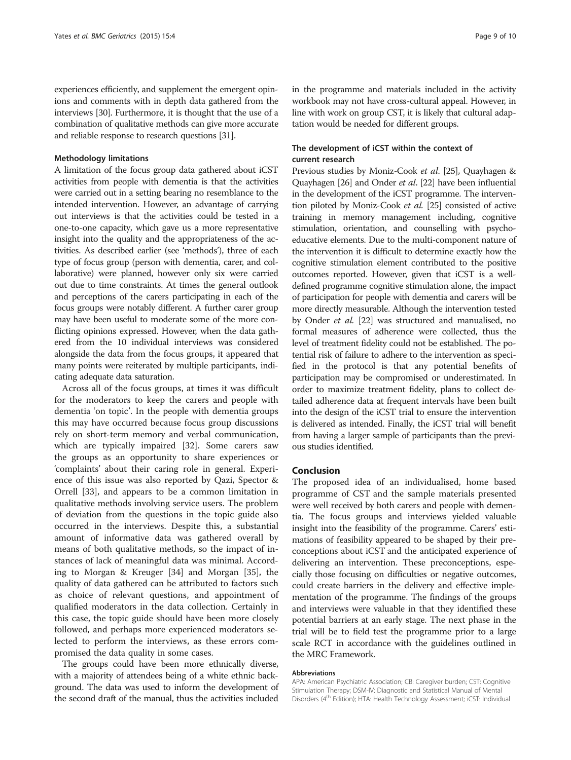experiences efficiently, and supplement the emergent opinions and comments with in depth data gathered from the interviews [[30](#page-9-0)]. Furthermore, it is thought that the use of a combination of qualitative methods can give more accurate and reliable response to research questions [\[31\]](#page-9-0).

#### Methodology limitations

A limitation of the focus group data gathered about iCST activities from people with dementia is that the activities were carried out in a setting bearing no resemblance to the intended intervention. However, an advantage of carrying out interviews is that the activities could be tested in a one-to-one capacity, which gave us a more representative insight into the quality and the appropriateness of the activities. As described earlier (see '[methods](#page-1-0)'), three of each type of focus group (person with dementia, carer, and collaborative) were planned, however only six were carried out due to time constraints. At times the general outlook and perceptions of the carers participating in each of the focus groups were notably different. A further carer group may have been useful to moderate some of the more conflicting opinions expressed. However, when the data gathered from the 10 individual interviews was considered alongside the data from the focus groups, it appeared that many points were reiterated by multiple participants, indicating adequate data saturation.

Across all of the focus groups, at times it was difficult for the moderators to keep the carers and people with dementia 'on topic'. In the people with dementia groups this may have occurred because focus group discussions rely on short-term memory and verbal communication, which are typically impaired [\[32](#page-9-0)]. Some carers saw the groups as an opportunity to share experiences or 'complaints' about their caring role in general. Experience of this issue was also reported by Qazi, Spector & Orrell [[33\]](#page-9-0), and appears to be a common limitation in qualitative methods involving service users. The problem of deviation from the questions in the topic guide also occurred in the interviews. Despite this, a substantial amount of informative data was gathered overall by means of both qualitative methods, so the impact of instances of lack of meaningful data was minimal. According to Morgan & Kreuger [[34](#page-9-0)] and Morgan [\[35](#page-9-0)], the quality of data gathered can be attributed to factors such as choice of relevant questions, and appointment of qualified moderators in the data collection. Certainly in this case, the topic guide should have been more closely followed, and perhaps more experienced moderators selected to perform the interviews, as these errors compromised the data quality in some cases.

The groups could have been more ethnically diverse, with a majority of attendees being of a white ethnic background. The data was used to inform the development of the second draft of the manual, thus the activities included in the programme and materials included in the activity workbook may not have cross-cultural appeal. However, in line with work on group CST, it is likely that cultural adaptation would be needed for different groups.

## The development of iCST within the context of current research

Previous studies by Moniz-Cook et al. [\[25\]](#page-9-0), Quayhagen & Quayhagen [\[26\]](#page-9-0) and Onder et al. [\[22\]](#page-9-0) have been influential in the development of the iCST programme. The intervention piloted by Moniz-Cook et al. [\[25\]](#page-9-0) consisted of active training in memory management including, cognitive stimulation, orientation, and counselling with psychoeducative elements. Due to the multi-component nature of the intervention it is difficult to determine exactly how the cognitive stimulation element contributed to the positive outcomes reported. However, given that iCST is a welldefined programme cognitive stimulation alone, the impact of participation for people with dementia and carers will be more directly measurable. Although the intervention tested by Onder et al. [\[22](#page-9-0)] was structured and manualised, no formal measures of adherence were collected, thus the level of treatment fidelity could not be established. The potential risk of failure to adhere to the intervention as specified in the protocol is that any potential benefits of participation may be compromised or underestimated. In order to maximize treatment fidelity, plans to collect detailed adherence data at frequent intervals have been built into the design of the iCST trial to ensure the intervention is delivered as intended. Finally, the iCST trial will benefit from having a larger sample of participants than the previous studies identified.

#### Conclusion

The proposed idea of an individualised, home based programme of CST and the sample materials presented were well received by both carers and people with dementia. The focus groups and interviews yielded valuable insight into the feasibility of the programme. Carers' estimations of feasibility appeared to be shaped by their preconceptions about iCST and the anticipated experience of delivering an intervention. These preconceptions, especially those focusing on difficulties or negative outcomes, could create barriers in the delivery and effective implementation of the programme. The findings of the groups and interviews were valuable in that they identified these potential barriers at an early stage. The next phase in the trial will be to field test the programme prior to a large scale RCT in accordance with the guidelines outlined in the MRC Framework.

#### Abbreviations

APA: American Psychiatric Association; CB: Caregiver burden; CST: Cognitive Stimulation Therapy; DSM-IV: Diagnostic and Statistical Manual of Mental Disorders (4<sup>th</sup> Edition); HTA: Health Technology Assessment; iCST: Individual